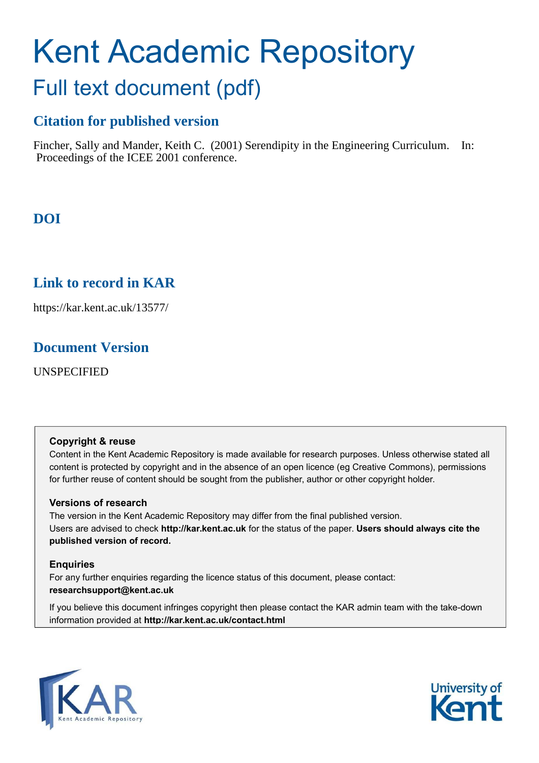# Kent Academic Repository Full text document (pdf)

# **Citation for published version**

Fincher, Sally and Mander, Keith C. (2001) Serendipity in the Engineering Curriculum. In: Proceedings of the ICEE 2001 conference.

# **DOI**

# **Link to record in KAR**

https://kar.kent.ac.uk/13577/

# **Document Version**

UNSPECIFIED

# **Copyright & reuse**

Content in the Kent Academic Repository is made available for research purposes. Unless otherwise stated all content is protected by copyright and in the absence of an open licence (eg Creative Commons), permissions for further reuse of content should be sought from the publisher, author or other copyright holder.

# **Versions of research**

The version in the Kent Academic Repository may differ from the final published version. Users are advised to check **http://kar.kent.ac.uk** for the status of the paper. **Users should always cite the published version of record.**

# **Enquiries**

For any further enquiries regarding the licence status of this document, please contact: **researchsupport@kent.ac.uk**

If you believe this document infringes copyright then please contact the KAR admin team with the take-down information provided at **http://kar.kent.ac.uk/contact.html**



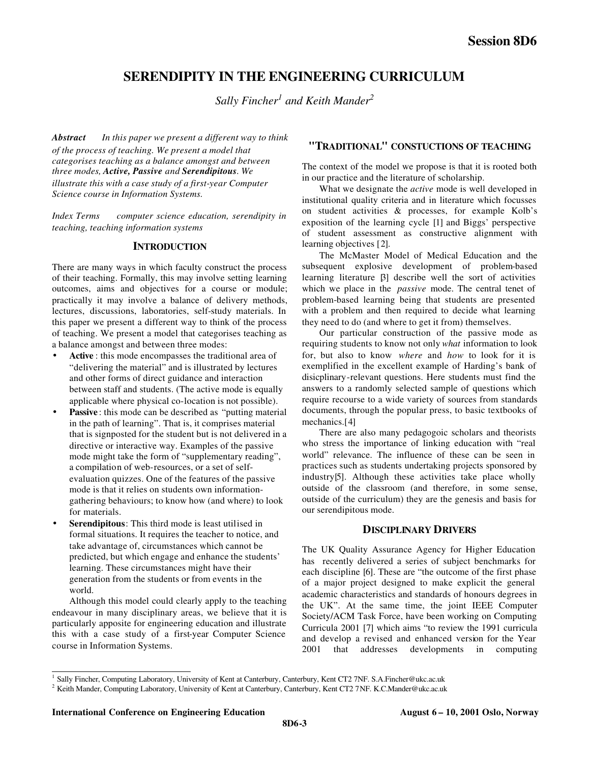# **SERENDIPITY IN THE ENGINEERING CURRICULUM**

*Sally Fincher<sup>1</sup> and Keith Mander<sup>2</sup>*

*Abstract In this paper we present a different way to think of the process of teaching. We present a model that categorises teaching as a balance amongst and between three modes, Active, Passive and Serendipitous. We illustrate this with a case study of a first-year Computer Science course in Information Systems.*

Index Terms — computer science education, serendipity in *teaching, teaching information systems*

## **INTRODUCTION**

There are many ways in which faculty construct the process of their teaching. Formally, this may involve setting learning outcomes, aims and objectives for a course or module; practically it may involve a balance of delivery methods, lectures, discussions, laboratories, self-study materials. In this paper we present a different way to think of the process of teaching. We present a model that categorises teaching as a balance amongst and between three modes:

- Active : this mode encompasses the traditional area of "delivering the material" and is illustrated by lectures and other forms of direct guidance and interaction between staff and students. (The active mode is equally applicable where physical co-location is not possible).
- **Passive**: this mode can be described as "putting material" in the path of learning". That is, it comprises material that is signposted for the student but is not delivered in a directive or interactive way. Examples of the passive mode might take the form of "supplementary reading", a compilation of web-resources, or a set of selfevaluation quizzes. One of the features of the passive mode is that it relies on students own informationgathering behaviours; to know how (and where) to look for materials.
- Serendipitous: This third mode is least utilised in formal situations. It requires the teacher to notice, and take advantage of, circumstances which cannot be predicted, but which engage and enhance the students' learning. These circumstances might have their generation from the students or from events in the world.

Although this model could clearly apply to the teaching endeavour in many disciplinary areas, we believe that it is particularly apposite for engineering education and illustrate this with a case study of a first-year Computer Science course in Information Systems.

## **"TRADITIONAL" CONSTUCTIONS OF TEACHING**

The context of the model we propose is that it is rooted both in our practice and the literature of scholarship.

What we designate the *active* mode is well developed in institutional quality criteria and in literature which focusses on student activities & processes, for example Kolb's exposition of the learning cycle [1] and Biggs' perspective of student assessment as constructive alignment with learning objectives [2].

The McMaster Model of Medical Education and the subsequent explosive development of problem-based learning literature [3] describe well the sort of activities which we place in the *passive* mode. The central tenet of problem-based learning being that students are presented with a problem and then required to decide what learning they need to do (and where to get it from) themselves.

Our particular construction of the passive mode as requiring students to know not only *what* information to look for, but also to know *where* and *how* to look for it is exemplified in the excellent example of Harding's bank of disicplinary-relevant questions. Here students must find the answers to a randomly selected sample of questions which require recourse to a wide variety of sources from standards documents, through the popular press, to basic textbooks of mechanics.[4]

There are also many pedagogoic scholars and theorists who stress the importance of linking education with "real world" relevance. The influence of these can be seen in practices such as students undertaking projects sponsored by industry[5]. Although these activities take place wholly outside of the classroom (and therefore, in some sense, outside of the curriculum) they are the genesis and basis for our serendipitous mode.

## **DISCIPLINARY DRIVERS**

The UK Quality Assurance Agency for Higher Education has recently delivered a series of subject benchmarks for each discipline [6]. These are "the outcome of the first phase of a major project designed to make explicit the general academic characteristics and standards of honours degrees in the UK". At the same time, the joint IEEE Computer Society/ACM Task Force, have been working on Computing Curricula 2001 [7] which aims "to review the 1991 curricula and develop a revised and enhanced version for the Year 2001 that addresses developments in computing

<sup>1&</sup>lt;br><sup>1</sup> Sally Fincher, Computing Laboratory, University of Kent at Canterbury, Canterbury, Kent CT2 7NF. S.A.Fincher@ukc.ac.uk

 $^2$  Keith Mander, Computing Laboratory, University of Kent at Canterbury, Canterbury, Kent CT2 7NF. K.C.Mander@ukc.ac.uk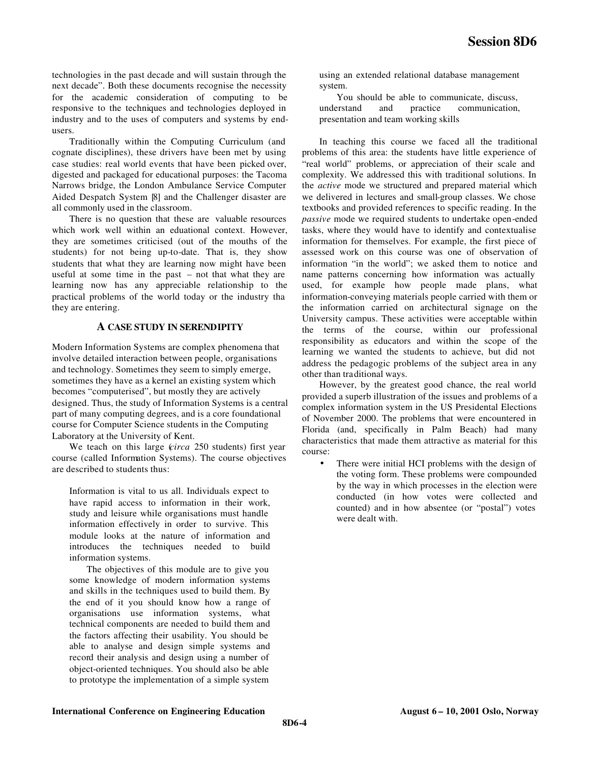technologies in the past decade and will sustain through the next decade". Both these documents recognise the necessity for the academic consideration of computing to be responsive to the techniques and technologies deployed in industry and to the uses of computers and systems by endusers.

Traditionally within the Computing Curriculum (and cognate disciplines), these drivers have been met by using case studies: real world events that have been picked over, digested and packaged for educational purposes: the Tacoma Narrows bridge, the London Ambulance Service Computer Aided Despatch System [8] and the Challenger disaster are all commonly used in the classroom.

There is no question that these are valuable resources which work well within an eduational context. However, they are sometimes criticised (out of the mouths of the students) for not being up-to-date. That is, they show students that what they are learning now might have been useful at some time in the past – not that what they are learning now has any appreciable relationship to the practical problems of the world today or the industry tha they are entering.

#### **A CASE STUDY IN SERENDIPITY**

Modern Information Systems are complex phenomena that involve detailed interaction between people, organisations and technology. Sometimes they seem to simply emerge, sometimes they have as a kernel an existing system which becomes "computerised", but mostly they are actively designed. Thus, the study of Information Systems is a central part of many computing degrees, and is a core foundational course for Computer Science students in the Computing Laboratory at the University of Kent.

We teach on this large (*circa* 250 students) first year course (called Information Systems). The course objectives are described to students thus:

Information is vital to us all. Individuals expect to have rapid access to information in their work, study and leisure while organisations must handle information effectively in order to survive. This module looks at the nature of information and introduces the techniques needed to build information systems.

The objectives of this module are to give you some knowledge of modern information systems and skills in the techniques used to build them. By the end of it you should know how a range of organisations use information systems, what technical components are needed to build them and the factors affecting their usability. You should be able to analyse and design simple systems and record their analysis and design using a number of object-oriented techniques. You should also be able to prototype the implementation of a simple system

using an extended relational database management system.

You should be able to communicate, discuss,<br>restand and practice communication, understand and practice communication, presentation and team working skills

In teaching this course we faced all the traditional problems of this area: the students have little experience of "real world" problems, or appreciation of their scale and complexity. We addressed this with traditional solutions. In the *active* mode we structured and prepared material which we delivered in lectures and small-group classes. We chose textbooks and provided references to specific reading. In the *passive* mode we required students to undertake open-ended tasks, where they would have to identify and contextualise information for themselves. For example, the first piece of assessed work on this course was one of observation of information "in the world"; we asked them to notice and name patterns concerning how information was actually used, for example how people made plans, what information-conveying materials people carried with them or the information carried on architectural signage on the University campus. These activities were acceptable within the terms of the course, within our professional responsibility as educators and within the scope of the learning we wanted the students to achieve, but did not address the pedagogic problems of the subject area in any other than traditional ways.

However, by the greatest good chance, the real world provided a superb illustration of the issues and problems of a complex information system in the US Presidental Elections of November 2000. The problems that were encountered in Florida (and, specifically in Palm Beach) had many characteristics that made them attractive as material for this course:

There were initial HCI problems with the design of the voting form. These problems were compounded by the way in which processes in the election were conducted (in how votes were collected and counted) and in how absentee (or "postal") votes were dealt with.

#### **International Conference on Engineering Education August 6 – 10, 2001 Oslo, Norway**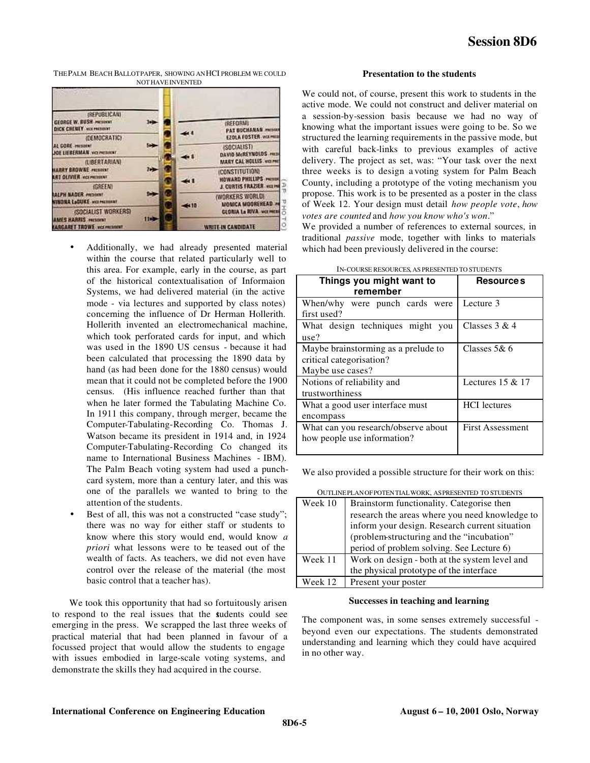THE PALM BEACH BALLOT PAPER, SHOWING AN HCI PROBLEM WE COULD NOT HAVE INVENTED



- Additionally, we had already presented material within the course that related particularly well to this area. For example, early in the course, as part of the historical contextualisation of Informaion Systems, we had delivered material (in the active mode - via lectures and supported by class notes) concerning the influence of Dr Herman Hollerith. Hollerith invented an electromechanical machine, which took perforated cards for input, and which was used in the 1890 US census - because it had been calculated that processing the 1890 data by hand (as had been done for the 1880 census) would mean that it could not be completed before the 1900 census. (His influence reached further than that when he later formed the Tabulating Machine Co. In 1911 this company, through merger, became the Computer-Tabulating-Recording Co. Thomas J. Watson became its president in 1914 and, in 1924 Computer-Tabulating-Recording Co changed its name to International Business Machines - IBM). The Palm Beach voting system had used a punchcard system, more than a century later, and this was one of the parallels we wanted to bring to the attention of the students.
- Best of all, this was not a constructed "case study"; there was no way for either staff or students to know where this story would end, would know *a priori* what lessons were to be teased out of the wealth of facts. As teachers, we did not even have control over the release of the material (the most basic control that a teacher has).

We took this opportunity that had so fortuitously arisen to respond to the real issues that the students could see emerging in the press. We scrapped the last three weeks of practical material that had been planned in favour of a focussed project that would allow the students to engage with issues embodied in large-scale voting systems, and demonstrate the skills they had acquired in the course.

#### **Presentation to the students**

We could not, of course, present this work to students in the active mode. We could not construct and deliver material on a session-by-session basis because we had no way of knowing what the important issues were going to be. So we structured the learning requirements in the passive mode, but with careful back-links to previous examples of active delivery. The project as set, was: "Your task over the next three weeks is to design a voting system for Palm Beach County, including a prototype of the voting mechanism you propose. This work is to be presented as a poster in the class of Week 12. Your design must detail *how people vote*, *how votes are counted* and *how you know who's won*."

We provided a number of references to external sources, in traditional *passive* mode, together with links to materials which had been previously delivered in the course:

| Things you might want to<br>remember                                                | <b>Resource s</b>       |
|-------------------------------------------------------------------------------------|-------------------------|
| When/why were punch cards were<br>first used?                                       | Lecture 3               |
| What design techniques might you<br>use?                                            | Classes $3 & 4$         |
| Maybe brainstorming as a prelude to<br>critical categorisation?<br>Maybe use cases? | Classes $5&6$           |
| Notions of reliability and<br>trustworthiness                                       | Lectures $15 & 17$      |
| What a good user interface must<br>encompass                                        | <b>HCI</b> lectures     |
| What can you research/observe about<br>how people use information?                  | <b>First Assessment</b> |

#### IN-COURSE RESOURCES, AS PRESENTED TO STUDENTS

We also provided a possible structure for their work on this:

OUTLINE PLAN OF POTENTIAL WORK, AS PRESENTED TO STUDENTS

| Week 10 | Brainstorm functionality. Categorise then      |
|---------|------------------------------------------------|
|         | research the areas where you need knowledge to |
|         | inform your design. Research current situation |
|         | (problem-structuring and the "incubation"      |
|         | period of problem solving. See Lecture 6)      |
| Week 11 | Work on design - both at the system level and  |
|         | the physical prototype of the interface        |
| Week 12 | Present your poster                            |

#### **Successes in teaching and learning**

The component was, in some senses extremely successful beyond even our expectations. The students demonstrated understanding and learning which they could have acquired in no other way.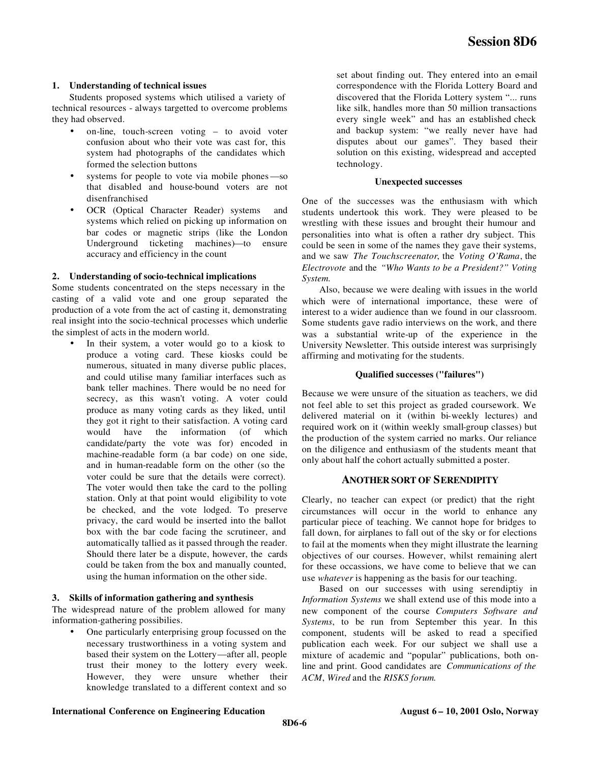#### **1. Understanding of technical issues**

Students proposed systems which utilised a variety of technical resources - always targetted to overcome problems they had observed.

- on-line, touch-screen voting to avoid voter confusion about who their vote was cast for, this system had photographs of the candidates which formed the selection buttons
- systems for people to vote via mobile phones—so that disabled and house-bound voters are not disenfranchised
- OCR (Optical Character Reader) systems and systems which relied on picking up information on bar codes or magnetic strips (like the London Underground ticketing machines)—to ensure accuracy and efficiency in the count

#### **2. Understanding of socio-technical implications**

Some students concentrated on the steps necessary in the casting of a valid vote and one group separated the production of a vote from the act of casting it, demonstrating real insight into the socio-technical processes which underlie the simplest of acts in the modern world.

In their system, a voter would go to a kiosk to produce a voting card. These kiosks could be numerous, situated in many diverse public places, and could utilise many familiar interfaces such as bank teller machines. There would be no need for secrecy, as this wasn't voting. A voter could produce as many voting cards as they liked, until they got it right to their satisfaction. A voting card would have the information (of which candidate/party the vote was for) encoded in machine-readable form (a bar code) on one side, and in human-readable form on the other (so the voter could be sure that the details were correct). The voter would then take the card to the polling station. Only at that point would eligibility to vote be checked, and the vote lodged. To preserve privacy, the card would be inserted into the ballot box with the bar code facing the scrutineer, and automatically tallied as it passed through the reader. Should there later be a dispute, however, the cards could be taken from the box and manually counted, using the human information on the other side.

#### **3. Skills of information gathering and synthesis**

The widespread nature of the problem allowed for many information-gathering possibilies.

One particularly enterprising group focussed on the necessary trustworthiness in a voting system and based their system on the Lottery—after all, people trust their money to the lottery every week. However, they were unsure whether their knowledge translated to a different context and so

set about finding out. They entered into an e-mail correspondence with the Florida Lottery Board and discovered that the Florida Lottery system "... runs like silk, handles more than 50 million transactions every single week" and has an established check and backup system: "we really never have had disputes about our games". They based their solution on this existing, widespread and accepted technology.

#### **Unexpected successes**

One of the successes was the enthusiasm with which students undertook this work. They were pleased to be wrestling with these issues and brought their humour and personalities into what is often a rather dry subject. This could be seen in some of the names they gave their systems, and we saw *The Touchscreenator*, the *Voting O'Rama*, the *Electrovote* and the *"Who Wants to be a President?" Voting System.*

Also, because we were dealing with issues in the world which were of international importance, these were of interest to a wider audience than we found in our classroom. Some students gave radio interviews on the work, and there was a substantial write-up of the experience in the University Newsletter. This outside interest was surprisingly affirming and motivating for the students.

#### **Qualified successes ("failures")**

Because we were unsure of the situation as teachers, we did not feel able to set this project as graded coursework. We delivered material on it (within bi-weekly lectures) and required work on it (within weekly small-group classes) but the production of the system carried no marks. Our reliance on the diligence and enthusiasm of the students meant that only about half the cohort actually submitted a poster.

#### **ANOTHER SORT OF SERENDIPITY**

Clearly, no teacher can expect (or predict) that the right circumstances will occur in the world to enhance any particular piece of teaching. We cannot hope for bridges to fall down, for airplanes to fall out of the sky or for elections to fail at the moments when they might illustrate the learning objectives of our courses. However, whilst remaining alert for these occassions, we have come to believe that we can use *whatever* is happening as the basis for our teaching.

Based on our successes with using serendiptiy in *Information Systems* we shall extend use of this mode into a new component of the course *Computers Software and Systems*, to be run from September this year. In this component, students will be asked to read a specified publication each week. For our subject we shall use a mixture of academic and "popular" publications, both online and print. Good candidates are *Communications of the ACM*, *Wired* and the *RISKS forum*.